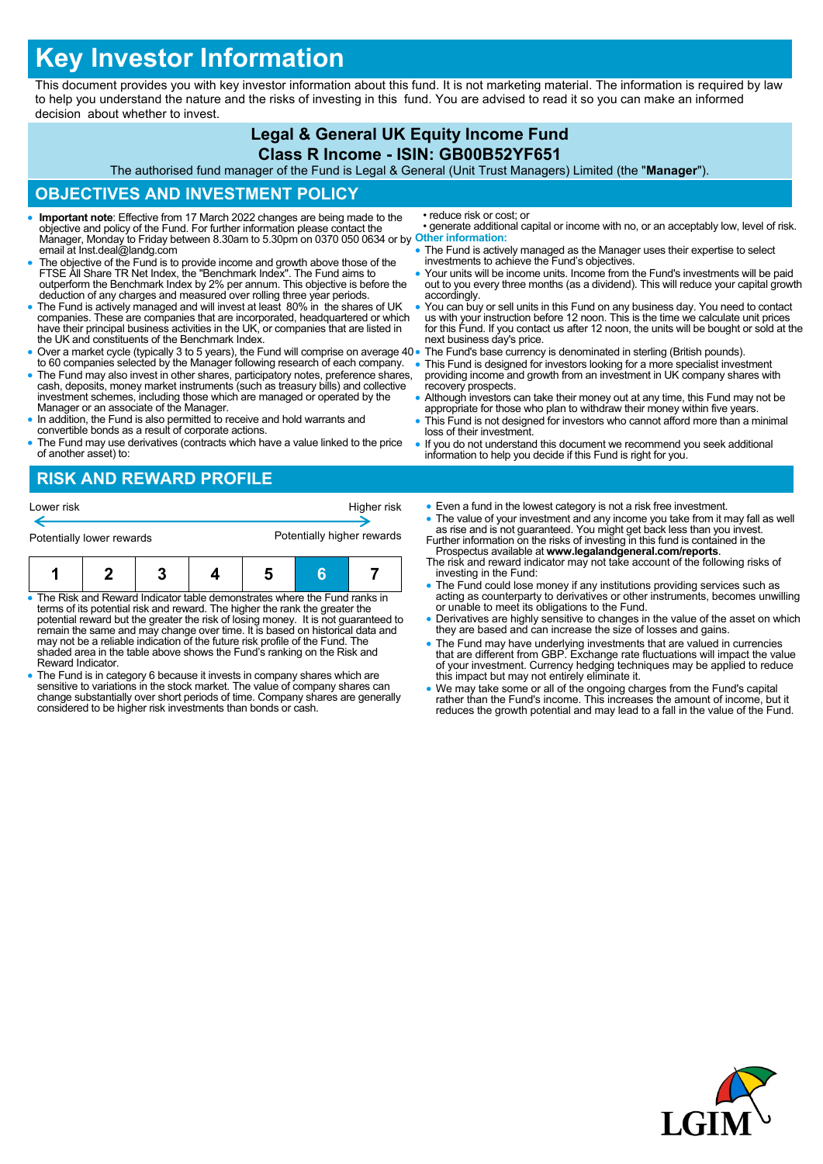# **Key Investor Information**

This document provides you with key investor information about this fund. It is not marketing material. The information is required by law to help you understand the nature and the risks of investing in this fund. You are advised to read it so you can make an informed decision about whether to invest.

#### **Legal & General UK Equity Income Fund Class R Income - ISIN: GB00B52YF651** The authorised fund manager of the Fund is Legal & General (Unit Trust Managers) Limited (the "**Manager**"). **OBJECTIVES AND INVESTMENT POLICY Important note**: Effective from 17 March 2022 changes are being made to the objective and policy of the Fund. For further information please contact the Manager, Monday to Friday between 8.30am to 5.30pm on 0370 050 0634 or by **Other information:** email at Inst.deal@landg.com The objective of the Fund is to provide income and growth above those of the FTSE All Share TR Net Index, the "Benchmark Index". The Fund aims to outperform the Benchmark Index by 2% per annum. This objective is before the deduction of any charges and measured over rolling three year periods. The Fund is actively managed and will invest at least 80% in the shares of UK companies. These are companies that are incorporated, headquartered or which have their principal business activities in the UK, or companies that are listed in the UK and constituents of the Benchmark Index. Over a market cycle (typically 3 to 5 years), the Fund will comprise on average 40 to 60 companies selected by the Manager following research of each company. • The Fund may also invest in other shares, participatory notes, preference shares, cash, deposits, money market instruments (such as treasury bills) and collective investment schemes, including those which are managed or Manager or an associate of the Manager. In addition, the Fund is also permitted to receive and hold warrants and convertible bonds as a result of corporate actions. The Fund may use derivatives (contracts which have a value linked to the price of another asset) to: • reduce risk or cost; or • generate additional capital or income with no, or an acceptably low, level of risk. • The Fund is actively managed as the Manager uses their expertise to select investments to achieve the Fund's objectives. • Your units will be income units. Income from the Fund's investments will be paid out to you every three months (as a dividend). This will reduce your capital growth accordingly. You can buy or sell units in this Fund on any business day. You need to contact us with your instruction before 12 noon. This is the time we calculate unit prices for this Fund. If you contact us after 12 noon, the units will be bought or sold at the next business day's price. The Fund's base currency is denominated in sterling (British pounds). This Fund is designed for investors looking for a more specialist investment providing income and growth from an investment in UK company shares with recovery prospects. Although investors can take their money out at any time, this Fund may not be appropriate for those who plan to withdraw their money within five years. This Fund is not designed for investors who cannot afford more than a minimal loss of their investment. If you do not understand this document we recommend you seek additional information to help you decide if this Fund is right for you. **RISK AND REWARD PROFILE** Even a fund in the lowest category is not a risk free investment. • The value of your investment and any income you take from it may fall as well as rise and is not guaranteed. You might get back less than you invest. Further information on the risks of investing in this fund is contained in the Lower risk **Higher risk** Higher risk Potentially lower rewards **Potentially higher rewards**

|  |  |  | . . |
|--|--|--|-----|
|  |  |  | `he |
|  |  |  |     |
|  |  |  |     |

- The Risk and Reward Indicator table demonstrates where the Fund ranks in terms of its potential risk and reward. The higher the rank the greater the potential reward but the greater the risk of losing money. It is not guaranteed to remain the same and may change over time. It is based on historical data and may not be a reliable indication of the future risk profile of the Fund. The shaded area in the table above shows the Fund's ranking on the Risk and Reward Indicator.
- The Fund is in category 6 because it invests in company shares which are sensitive to variations in the stock market. The value of company shares can change substantially over short periods of time. Company shares are generally considered to be higher risk investments than bonds or cash.
- Prospectus available at **www.legalandgeneral.com/reports**. The risk and reward indicator may not take account of the following risks of
- vesting in the Fund:
- he Fund could lose money if any institutions providing services such as acting as counterparty to derivatives or other instruments, becomes unwilling or unable to meet its obligations to the Fund.
- Derivatives are highly sensitive to changes in the value of the asset on which they are based and can increase the size of losses and gains.
- The Fund may have underlying investments that are valued in currencies that are different from GBP. Exchange rate fluctuations will impact the value of your investment. Currency hedging techniques may be applied to reduce this impact but may not entirely eliminate it.
- We may take some or all of the ongoing charges from the Fund's capital rather than the Fund's income. This increases the amount of income, but it reduces the growth potential and may lead to a fall in the value of the Fund.